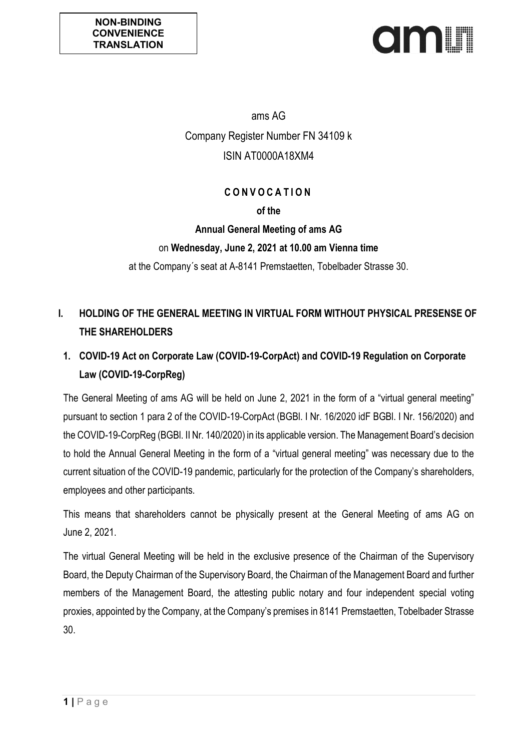

ams AG Company Register Number FN 34109 k ISIN AT0000A18XM4

# **C O N V O C A T I O N**

#### **of the**

#### **Annual General Meeting of ams AG**

#### on **Wednesday, June 2, 2021 at 10.00 am Vienna time**

at the Company´s seat at A-8141 Premstaetten, Tobelbader Strasse 30.

# **I. HOLDING OF THE GENERAL MEETING IN VIRTUAL FORM WITHOUT PHYSICAL PRESENSE OF THE SHAREHOLDERS**

# **1. COVID-19 Act on Corporate Law (COVID-19-CorpAct) and COVID-19 Regulation on Corporate Law (COVID-19-CorpReg)**

The General Meeting of ams AG will be held on June 2, 2021 in the form of a "virtual general meeting" pursuant to section 1 para 2 of the COVID-19-CorpAct (BGBl. I Nr. 16/2020 idF BGBl. I Nr. 156/2020) and the COVID-19-CorpReg (BGBl. II Nr. 140/2020) in its applicable version. The Management Board's decision to hold the Annual General Meeting in the form of a "virtual general meeting" was necessary due to the current situation of the COVID-19 pandemic, particularly for the protection of the Company's shareholders, employees and other participants.

This means that shareholders cannot be physically present at the General Meeting of ams AG on June 2, 2021.

The virtual General Meeting will be held in the exclusive presence of the Chairman of the Supervisory Board, the Deputy Chairman of the Supervisory Board, the Chairman of the Management Board and further members of the Management Board, the attesting public notary and four independent special voting proxies, appointed by the Company, at the Company's premises in 8141 Premstaetten, Tobelbader Strasse 30.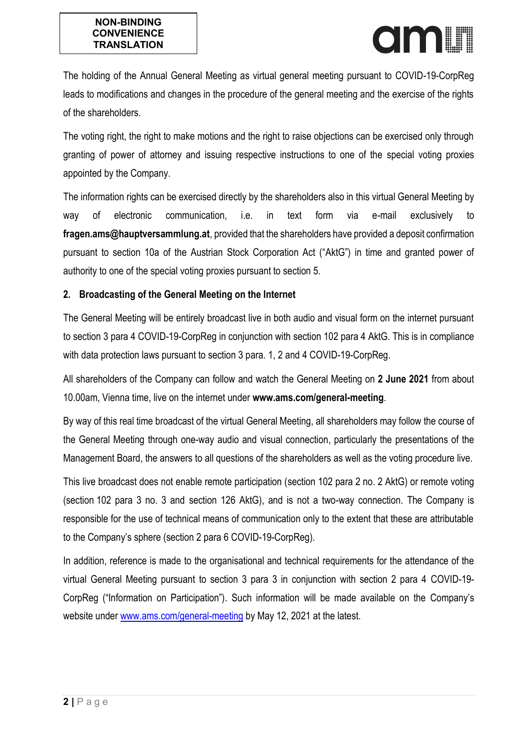

The holding of the Annual General Meeting as virtual general meeting pursuant to COVID-19-CorpReg leads to modifications and changes in the procedure of the general meeting and the exercise of the rights of the shareholders.

The voting right, the right to make motions and the right to raise objections can be exercised only through granting of power of attorney and issuing respective instructions to one of the special voting proxies appointed by the Company.

The information rights can be exercised directly by the shareholders also in this virtual General Meeting by way of electronic communication, i.e. in text form via e-mail exclusively to **fragen.ams@hauptversammlung.at**, provided that the shareholders have provided a deposit confirmation pursuant to section 10a of the Austrian Stock Corporation Act ("AktG") in time and granted power of authority to one of the special voting proxies pursuant to section 5.

## **2. Broadcasting of the General Meeting on the Internet**

The General Meeting will be entirely broadcast live in both audio and visual form on the internet pursuant to section 3 para 4 COVID-19-CorpReg in conjunction with section 102 para 4 AktG. This is in compliance with data protection laws pursuant to section 3 para. 1, 2 and 4 COVID-19-CorpReg.

All shareholders of the Company can follow and watch the General Meeting on **2 June 2021** from about 10.00am, Vienna time, live on the internet under **www.ams.com/general-meeting**.

By way of this real time broadcast of the virtual General Meeting, all shareholders may follow the course of the General Meeting through one-way audio and visual connection, particularly the presentations of the Management Board, the answers to all questions of the shareholders as well as the voting procedure live.

This live broadcast does not enable remote participation (section 102 para 2 no. 2 AktG) or remote voting (section 102 para 3 no. 3 and section 126 AktG), and is not a two-way connection. The Company is responsible for the use of technical means of communication only to the extent that these are attributable to the Company's sphere (section 2 para 6 COVID-19-CorpReg).

In addition, reference is made to the organisational and technical requirements for the attendance of the virtual General Meeting pursuant to section 3 para 3 in conjunction with section 2 para 4 COVID-19- CorpReg ("Information on Participation"). Such information will be made available on the Company's website under [www.ams.com/general-meeting](http://www.ams.com/general-meeting) by May 12, 2021 at the latest.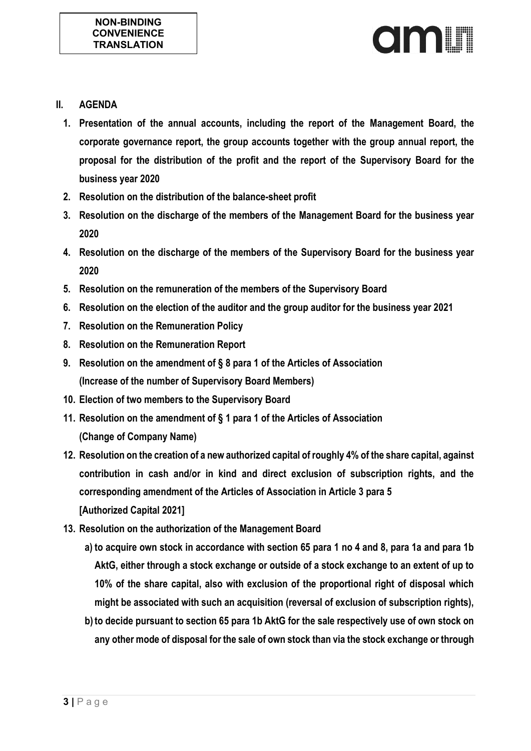

- **II. AGENDA**
	- **1. Presentation of the annual accounts, including the report of the Management Board, the corporate governance report, the group accounts together with the group annual report, the proposal for the distribution of the profit and the report of the Supervisory Board for the business year 2020**
	- **2. Resolution on the distribution of the balance-sheet profit**
	- **3. Resolution on the discharge of the members of the Management Board for the business year 2020**
	- **4. Resolution on the discharge of the members of the Supervisory Board for the business year 2020**
	- **5. Resolution on the remuneration of the members of the Supervisory Board**
	- **6. Resolution on the election of the auditor and the group auditor for the business year 2021**
	- **7. Resolution on the Remuneration Policy**
	- **8. Resolution on the Remuneration Report**
	- **9. Resolution on the amendment of § 8 para 1 of the Articles of Association (Increase of the number of Supervisory Board Members)**
	- **10. Election of two members to the Supervisory Board**
	- **11. Resolution on the amendment of § 1 para 1 of the Articles of Association (Change of Company Name)**
	- **12. Resolution on the creation of a new authorized capital of roughly 4% of the share capital, against contribution in cash and/or in kind and direct exclusion of subscription rights, and the corresponding amendment of the Articles of Association in Article 3 para 5 [Authorized Capital 2021]**
	- **13. Resolution on the authorization of the Management Board** 
		- **a) to acquire own stock in accordance with section 65 para 1 no 4 and 8, para 1a and para 1b AktG, either through a stock exchange or outside of a stock exchange to an extent of up to 10% of the share capital, also with exclusion of the proportional right of disposal which might be associated with such an acquisition (reversal of exclusion of subscription rights),**
		- **b) to decide pursuant to section 65 para 1b AktG for the sale respectively use of own stock on any other mode of disposal for the sale of own stock than via the stock exchange or through**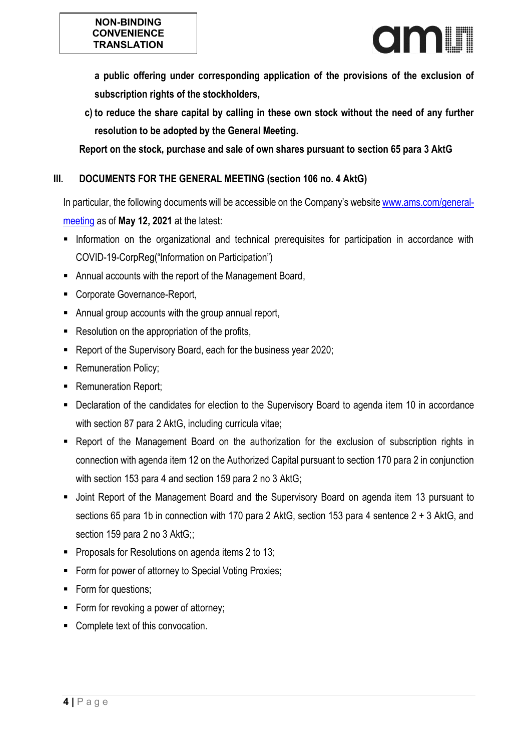

**a public offering under corresponding application of the provisions of the exclusion of subscription rights of the stockholders,** 

**c) to reduce the share capital by calling in these own stock without the need of any further resolution to be adopted by the General Meeting.**

**Report on the stock, purchase and sale of own shares pursuant to section 65 para 3 AktG**

# **III. DOCUMENTS FOR THE GENERAL MEETING (section 106 no. 4 AktG)**

In particular, the following documents will be accessible on the Company's website [www.ams.com/general](http://www.ams.com/general-meeting)[meeting](http://www.ams.com/general-meeting) as of **May 12, 2021** at the latest:

- **Information on the organizational and technical prerequisites for participation in accordance with** COVID-19-CorpReg("Information on Participation")
- Annual accounts with the report of the Management Board,
- Corporate Governance-Report,
- Annual group accounts with the group annual report,
- Resolution on the appropriation of the profits,
- Report of the Supervisory Board, each for the business year 2020;
- **Remuneration Policy;**
- **Remuneration Report;**
- Declaration of the candidates for election to the Supervisory Board to agenda item 10 in accordance with section 87 para 2 AktG, including curricula vitae;
- Report of the Management Board on the authorization for the exclusion of subscription rights in connection with agenda item 12 on the Authorized Capital pursuant to section 170 para 2 in conjunction with section 153 para 4 and section 159 para 2 no 3 AktG;
- Joint Report of the Management Board and the Supervisory Board on agenda item 13 pursuant to sections 65 para 1b in connection with 170 para 2 AktG, section 153 para 4 sentence 2 + 3 AktG, and section 159 para 2 no 3 AktG;;
- **Proposals for Resolutions on agenda items 2 to 13;**
- Form for power of attorney to Special Voting Proxies;
- Form for questions;
- Form for revoking a power of attorney;
- Complete text of this convocation.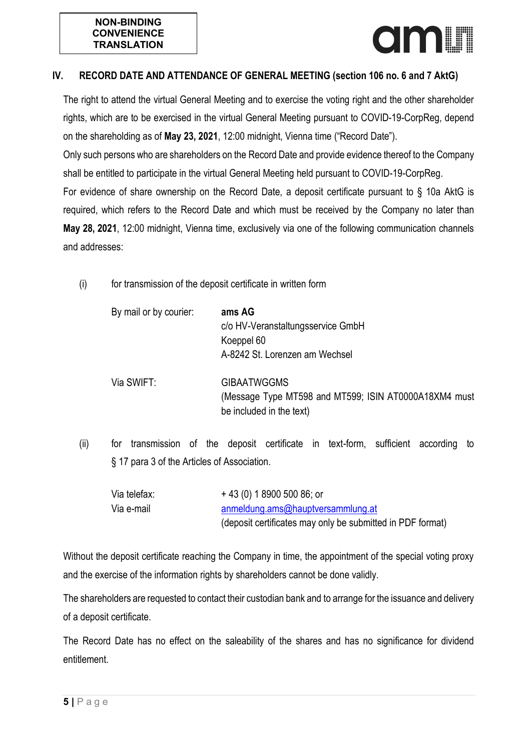

## **IV. RECORD DATE AND ATTENDANCE OF GENERAL MEETING (section 106 no. 6 and 7 AktG)**

The right to attend the virtual General Meeting and to exercise the voting right and the other shareholder rights, which are to be exercised in the virtual General Meeting pursuant to COVID-19-CorpReg, depend on the shareholding as of **May 23, 2021**, 12:00 midnight, Vienna time ("Record Date").

Only such persons who are shareholders on the Record Date and provide evidence thereof to the Company shall be entitled to participate in the virtual General Meeting held pursuant to COVID-19-CorpReg. For evidence of share ownership on the Record Date, a deposit certificate pursuant to § 10a AktG is required, which refers to the Record Date and which must be received by the Company no later than **May 28, 2021**, 12:00 midnight, Vienna time, exclusively via one of the following communication channels

and addresses:

(i) for transmission of the deposit certificate in written form

| By mail or by courier: | ams AG<br>c/o HV-Veranstaltungsservice GmbH<br>Koeppel 60<br>A-8242 St. Lorenzen am Wechsel             |
|------------------------|---------------------------------------------------------------------------------------------------------|
| Via SWIFT:             | <b>GIBAATWGGMS</b><br>(Message Type MT598 and MT599; ISIN AT0000A18XM4 must<br>be included in the text) |

(ii) for transmission of the deposit certificate in text-form, sufficient according to § 17 para 3 of the Articles of Association.

| Via telefax: | $+43(0)$ 1 8900 500 86; or                                 |
|--------------|------------------------------------------------------------|
| Via e-mail   | anmeldung.ams@hauptversammlung.at                          |
|              | (deposit certificates may only be submitted in PDF format) |

Without the deposit certificate reaching the Company in time, the appointment of the special voting proxy and the exercise of the information rights by shareholders cannot be done validly.

The shareholders are requested to contact their custodian bank and to arrange for the issuance and delivery of a deposit certificate.

The Record Date has no effect on the saleability of the shares and has no significance for dividend entitlement.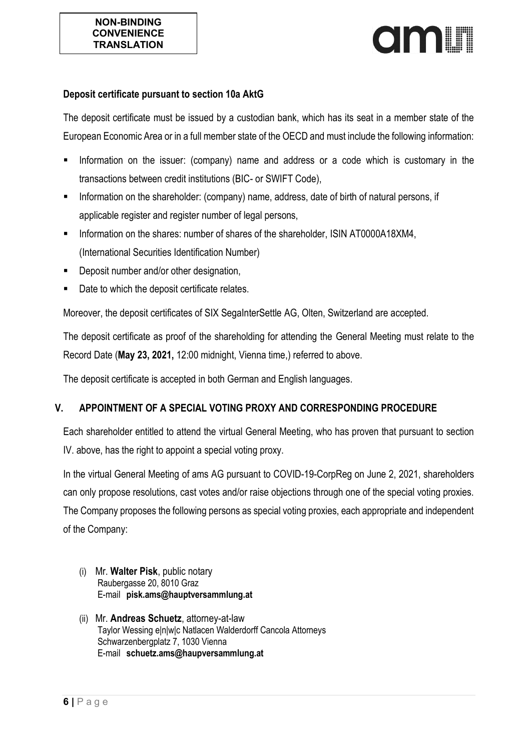# **OIAALIN**

#### **Deposit certificate pursuant to section 10a AktG**

The deposit certificate must be issued by a custodian bank, which has its seat in a member state of the European Economic Area or in a full member state of the OECD and must include the following information:

- Information on the issuer: (company) name and address or a code which is customary in the transactions between credit institutions (BIC- or SWIFT Code),
- **Information on the shareholder: (company) name, address, date of birth of natural persons, if** applicable register and register number of legal persons,
- Information on the shares: number of shares of the shareholder, ISIN AT0000A18XM4, (International Securities Identification Number)
- Deposit number and/or other designation,
- Date to which the deposit certificate relates.

Moreover, the deposit certificates of SIX SegaInterSettle AG, Olten, Switzerland are accepted.

The deposit certificate as proof of the shareholding for attending the General Meeting must relate to the Record Date (**May 23, 2021,** 12:00 midnight, Vienna time,) referred to above.

The deposit certificate is accepted in both German and English languages.

## **V. APPOINTMENT OF A SPECIAL VOTING PROXY AND CORRESPONDING PROCEDURE**

Each shareholder entitled to attend the virtual General Meeting, who has proven that pursuant to section IV. above, has the right to appoint a special voting proxy.

In the virtual General Meeting of ams AG pursuant to COVID-19-CorpReg on June 2, 2021, shareholders can only propose resolutions, cast votes and/or raise objections through one of the special voting proxies. The Company proposes the following persons as special voting proxies, each appropriate and independent of the Company:

- (i) Mr. **Walter Pisk**, public notary Raubergasse 20, 8010 Graz E-mail **pisk.ams@hauptversammlung.at**
- (ii) Mr. **Andreas Schuetz**, attorney-at-law Taylor Wessing elniwic Natlacen Walderdorff Cancola Attorneys Schwarzenbergplatz 7, 1030 Vienna E-mail **schuetz.ams@haupversammlung.at**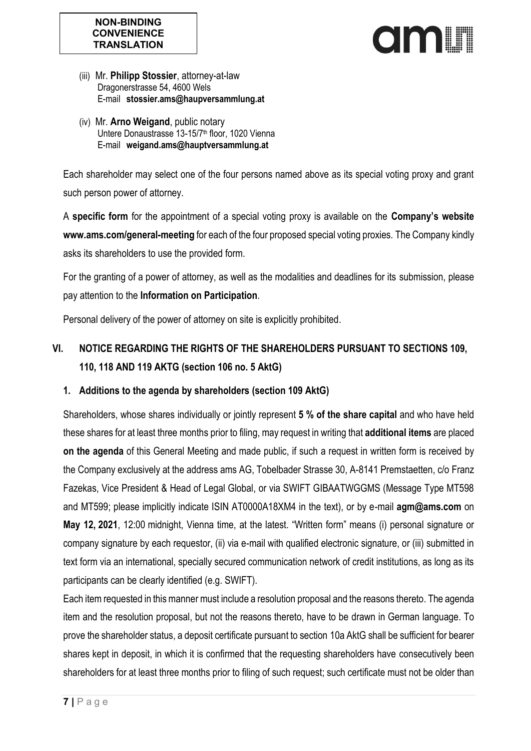

- (iii) Mr. **Philipp Stossier**, attorney-at-law Dragonerstrasse 54, 4600 Wels E-mail **stossier.ams@haupversammlung.at**
- (iv) Mr. **Arno Weigand**, public notary Untere Donaustrasse 13-15/7<sup>th</sup> floor, 1020 Vienna E-mail **weigand.ams@hauptversammlung.at**

Each shareholder may select one of the four persons named above as its special voting proxy and grant such person power of attorney.

A **specific form** for the appointment of a special voting proxy is available on the **Company's website www.ams.com/general-meeting** for each of the four proposed special voting proxies. The Company kindly asks its shareholders to use the provided form.

For the granting of a power of attorney, as well as the modalities and deadlines for its submission, please pay attention to the **Information on Participation**.

Personal delivery of the power of attorney on site is explicitly prohibited.

# **VI. NOTICE REGARDING THE RIGHTS OF THE SHAREHOLDERS PURSUANT TO SECTIONS 109, 110, 118 AND 119 AKTG (section 106 no. 5 AktG)**

# **1. Additions to the agenda by shareholders (section 109 AktG)**

Shareholders, whose shares individually or jointly represent **5 % of the share capital** and who have held these shares for at least three months prior to filing, may request in writing that **additional items** are placed **on the agenda** of this General Meeting and made public, if such a request in written form is received by the Company exclusively at the address ams AG, Tobelbader Strasse 30, A-8141 Premstaetten, c/o Franz Fazekas, Vice President & Head of Legal Global, or via SWIFT GIBAATWGGMS (Message Type MT598 and MT599; please implicitly indicate ISIN AT0000A18XM4 in the text), or by e-mail **agm@ams.com** on **May 12, 2021**, 12:00 midnight, Vienna time, at the latest. "Written form" means (i) personal signature or company signature by each requestor, (ii) via e-mail with qualified electronic signature, or (iii) submitted in text form via an international, specially secured communication network of credit institutions, as long as its participants can be clearly identified (e.g. SWIFT).

Each item requested in this manner must include a resolution proposal and the reasons thereto. The agenda item and the resolution proposal, but not the reasons thereto, have to be drawn in German language. To prove the shareholder status, a deposit certificate pursuant to section 10a AktG shall be sufficient for bearer shares kept in deposit, in which it is confirmed that the requesting shareholders have consecutively been shareholders for at least three months prior to filing of such request; such certificate must not be older than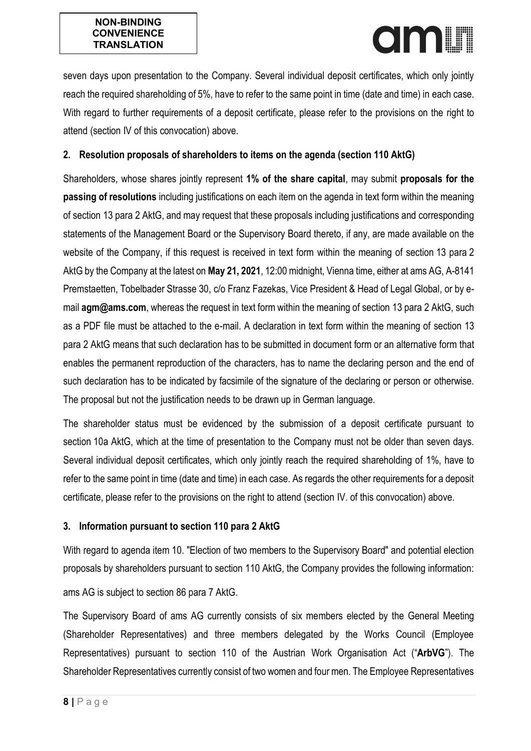

seven days upon presentation to the Company. Several individual deposit certificates, which only jointly reach the required shareholding of 5%, have to refer to the same point in time (date and time) in each case. With regard to further requirements of a deposit certificate, please refer to the provisions on the right to attend (section IV of this convocation) above.

# **2. Resolution proposals of shareholders to items on the agenda (section 110 AktG)**

Shareholders, whose shares jointly represent **1% of the share capital**, may submit **proposals for the passing of resolutions** including justifications on each item on the agenda in text form within the meaning of section 13 para 2 AktG, and may request that these proposals including justifications and corresponding statements of the Management Board or the Supervisory Board thereto, if any, are made available on the website of the Company, if this request is received in text form within the meaning of section 13 para 2 AktG by the Company at the latest on **May 21, 2021**, 12:00 midnight, Vienna time, either at ams AG, A-8141 Premstaetten, Tobelbader Strasse 30, c/o Franz Fazekas, Vice President & Head of Legal Global, or by email **agm@ams.com**, whereas the request in text form within the meaning of section 13 para 2 AktG, such as a PDF file must be attached to the e-mail. A declaration in text form within the meaning of section 13 para 2 AktG means that such declaration has to be submitted in document form or an alternative form that enables the permanent reproduction of the characters, has to name the declaring person and the end of such declaration has to be indicated by facsimile of the signature of the declaring or person or otherwise. The proposal but not the justification needs to be drawn up in German language.

The shareholder status must be evidenced by the submission of a deposit certificate pursuant to section 10a AktG, which at the time of presentation to the Company must not be older than seven days. Several individual deposit certificates, which only jointly reach the required shareholding of 1%, have to refer to the same point in time (date and time) in each case. As regards the other requirements for a deposit certificate, please refer to the provisions on the right to attend (section IV. of this convocation) above.

## **3. Information pursuant to section 110 para 2 AktG**

With regard to agenda item 10. "Election of two members to the Supervisory Board" and potential election proposals by shareholders pursuant to section 110 AktG, the Company provides the following information: ams AG is subject to section 86 para 7 AktG.

The Supervisory Board of ams AG currently consists of six members elected by the General Meeting (Shareholder Representatives) and three members delegated by the Works Council (Employee Representatives) pursuant to section 110 of the Austrian Work Organisation Act ("**ArbVG**"). The Shareholder Representatives currently consist of two women and four men. The Employee Representatives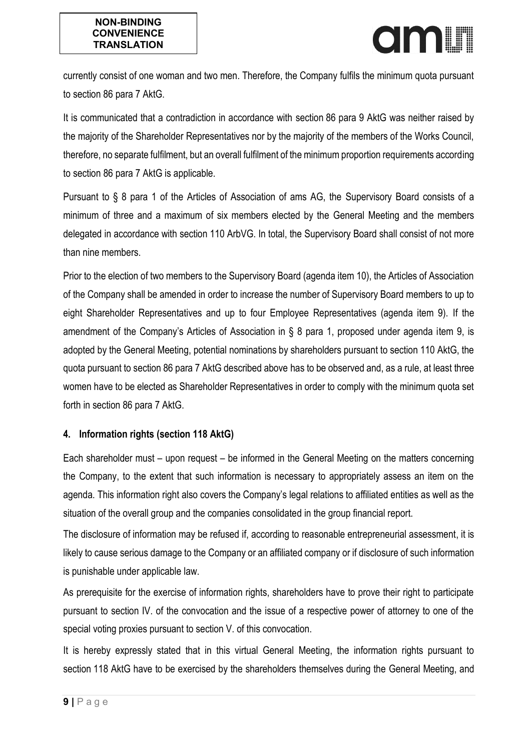

currently consist of one woman and two men. Therefore, the Company fulfils the minimum quota pursuant to section 86 para 7 AktG.

It is communicated that a contradiction in accordance with section 86 para 9 AktG was neither raised by the majority of the Shareholder Representatives nor by the majority of the members of the Works Council, therefore, no separate fulfilment, but an overall fulfilment of the minimum proportion requirements according to section 86 para 7 AktG is applicable.

Pursuant to § 8 para 1 of the Articles of Association of ams AG, the Supervisory Board consists of a minimum of three and a maximum of six members elected by the General Meeting and the members delegated in accordance with section 110 ArbVG. In total, the Supervisory Board shall consist of not more than nine members.

Prior to the election of two members to the Supervisory Board (agenda item 10), the Articles of Association of the Company shall be amended in order to increase the number of Supervisory Board members to up to eight Shareholder Representatives and up to four Employee Representatives (agenda item 9). If the amendment of the Company's Articles of Association in § 8 para 1, proposed under agenda item 9, is adopted by the General Meeting, potential nominations by shareholders pursuant to section 110 AktG, the quota pursuant to section 86 para 7 AktG described above has to be observed and, as a rule, at least three women have to be elected as Shareholder Representatives in order to comply with the minimum quota set forth in section 86 para 7 AktG.

## **4. Information rights (section 118 AktG)**

Each shareholder must – upon request – be informed in the General Meeting on the matters concerning the Company, to the extent that such information is necessary to appropriately assess an item on the agenda. This information right also covers the Company's legal relations to affiliated entities as well as the situation of the overall group and the companies consolidated in the group financial report.

The disclosure of information may be refused if, according to reasonable entrepreneurial assessment, it is likely to cause serious damage to the Company or an affiliated company or if disclosure of such information is punishable under applicable law.

As prerequisite for the exercise of information rights, shareholders have to prove their right to participate pursuant to section IV. of the convocation and the issue of a respective power of attorney to one of the special voting proxies pursuant to section V. of this convocation.

It is hereby expressly stated that in this virtual General Meeting, the information rights pursuant to section 118 AktG have to be exercised by the shareholders themselves during the General Meeting, and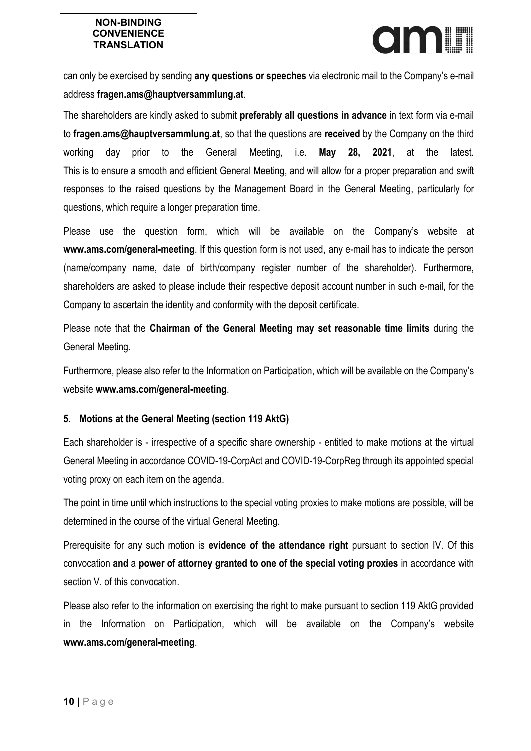can only be exercised by sending **any questions or speeches** via electronic mail to the Company's e-mail address **fragen.ams@hauptversammlung.at**.

The shareholders are kindly asked to submit **preferably all questions in advance** in text form via e-mail to **fragen.ams@hauptversammlung.at**, so that the questions are **received** by the Company on the third working day prior to the General Meeting, i.e. **May 28, 2021**, at the latest. This is to ensure a smooth and efficient General Meeting, and will allow for a proper preparation and swift responses to the raised questions by the Management Board in the General Meeting, particularly for questions, which require a longer preparation time.

Please use the question form, which will be available on the Company's website at **www.ams.com/general-meeting**. If this question form is not used, any e-mail has to indicate the person (name/company name, date of birth/company register number of the shareholder). Furthermore, shareholders are asked to please include their respective deposit account number in such e-mail, for the Company to ascertain the identity and conformity with the deposit certificate.

Please note that the **Chairman of the General Meeting may set reasonable time limits** during the General Meeting.

Furthermore, please also refer to the Information on Participation, which will be available on the Company's website **www.ams.com/general-meeting**.

# **5. Motions at the General Meeting (section 119 AktG)**

Each shareholder is - irrespective of a specific share ownership - entitled to make motions at the virtual General Meeting in accordance COVID-19-CorpAct and COVID-19-CorpReg through its appointed special voting proxy on each item on the agenda.

The point in time until which instructions to the special voting proxies to make motions are possible, will be determined in the course of the virtual General Meeting.

Prerequisite for any such motion is **evidence of the attendance right** pursuant to section IV. Of this convocation **and** a **power of attorney granted to one of the special voting proxies** in accordance with section V. of this convocation.

Please also refer to the information on exercising the right to make pursuant to section 119 AktG provided in the Information on Participation, which will be available on the Company's website **www.ams.com/general-meeting**.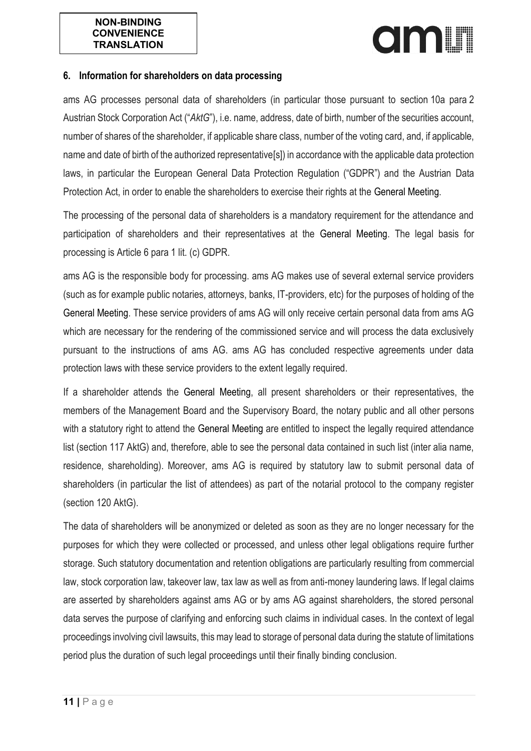#### **NON-BINDING CONVENIENCE TRANSLATION**

# **OIAALIN**

#### **6. Information for shareholders on data processing**

ams AG processes personal data of shareholders (in particular those pursuant to section 10a para 2 Austrian Stock Corporation Act ("*AktG*"), i.e. name, address, date of birth, number of the securities account, number of shares of the shareholder, if applicable share class, number of the voting card, and, if applicable, name and date of birth of the authorized representative[s]) in accordance with the applicable data protection laws, in particular the European General Data Protection Regulation ("GDPR") and the Austrian Data Protection Act, in order to enable the shareholders to exercise their rights at the General Meeting.

The processing of the personal data of shareholders is a mandatory requirement for the attendance and participation of shareholders and their representatives at the General Meeting. The legal basis for processing is Article 6 para 1 lit. (c) GDPR.

ams AG is the responsible body for processing. ams AG makes use of several external service providers (such as for example public notaries, attorneys, banks, IT-providers, etc) for the purposes of holding of the General Meeting. These service providers of ams AG will only receive certain personal data from ams AG which are necessary for the rendering of the commissioned service and will process the data exclusively pursuant to the instructions of ams AG. ams AG has concluded respective agreements under data protection laws with these service providers to the extent legally required.

If a shareholder attends the General Meeting, all present shareholders or their representatives, the members of the Management Board and the Supervisory Board, the notary public and all other persons with a statutory right to attend the General Meeting are entitled to inspect the legally required attendance list (section 117 AktG) and, therefore, able to see the personal data contained in such list (inter alia name, residence, shareholding). Moreover, ams AG is required by statutory law to submit personal data of shareholders (in particular the list of attendees) as part of the notarial protocol to the company register (section 120 AktG).

The data of shareholders will be anonymized or deleted as soon as they are no longer necessary for the purposes for which they were collected or processed, and unless other legal obligations require further storage. Such statutory documentation and retention obligations are particularly resulting from commercial law, stock corporation law, takeover law, tax law as well as from anti-money laundering laws. If legal claims are asserted by shareholders against ams AG or by ams AG against shareholders, the stored personal data serves the purpose of clarifying and enforcing such claims in individual cases. In the context of legal proceedings involving civil lawsuits, this may lead to storage of personal data during the statute of limitations period plus the duration of such legal proceedings until their finally binding conclusion.